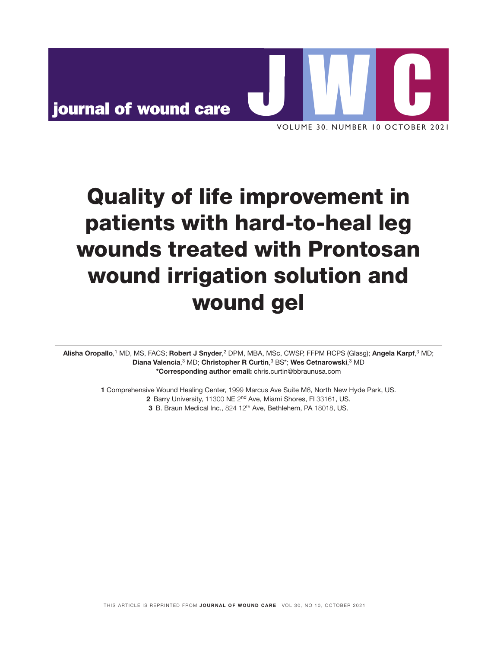

# Quality of life improvement in patients with hard-to-heal leg wounds treated with Prontosan wound irrigation solution and wound gel

Alisha Oropallo,<sup>1</sup> MD, MS, FACS; **Robert J Snyder**,<sup>2</sup> DPM, MBA, MSc, CWSP, FFPM RCPS (Glasg); **Angela Karpf**,<sup>3</sup> MD; Diana Valencia,<sup>3</sup> MD; Christopher R Curtin,<sup>3</sup> BS\*; Wes Cetnarowski,<sup>3</sup> MD \*Corresponding author email: chris.curtin@bbraunusa.com

> 1 Comprehensive Wound Healing Center, 1999 Marcus Ave Suite M6, North New Hyde Park, US. 2 Barry University, 11300 NE 2nd Ave, Miami Shores, Fl 33161, US. 3 B. Braun Medical Inc., 824 12<sup>th</sup> Ave, Bethlehem, PA 18018, US.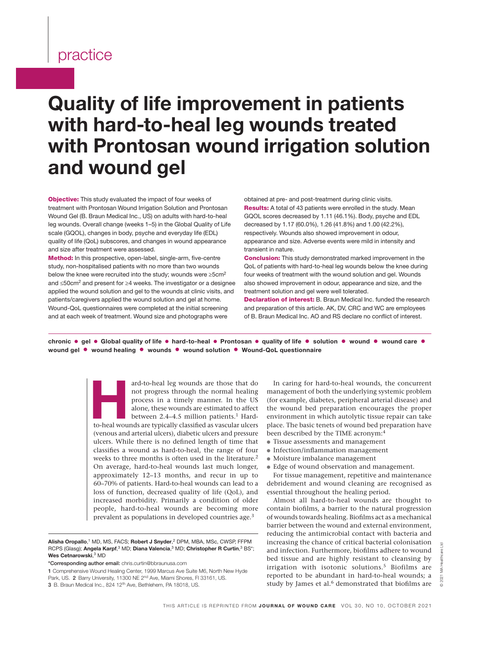# Quality of life improvement in patients with hard-to-heal leg wounds treated with Prontosan wound irrigation solution and wound gel

**Objective:** This study evaluated the impact of four weeks of treatment with Prontosan Wound Irrigation Solution and Prontosan Wound Gel (B. Braun Medical Inc., US) on adults with hard-to-heal leg wounds. Overall change (weeks 1–5) in the Global Quality of Life scale (GQOL), changes in body, psyche and everyday life (EDL) quality of life (QoL) subscores, and changes in wound appearance and size after treatment were assessed.

Method: In this prospective, open-label, single-arm, five-centre study, non-hospitalised patients with no more than two wounds below the knee were recruited into the study; wounds were ≥5cm<sup>2</sup> and ≤50cm<sup>2</sup> and present for ≥4 weeks. The investigator or a designee applied the wound solution and gel to the wounds at clinic visits, and patients/caregivers applied the wound solution and gel at home. Wound-QoL questionnaires were completed at the initial screening and at each week of treatment. Wound size and photographs were

obtained at pre- and post-treatment during clinic visits. Results: A total of 43 patients were enrolled in the study. Mean GQOL scores decreased by 1.11 (46.1%). Body, psyche and EDL decreased by 1.17 (60.0%), 1.26 (41.8%) and 1.00 (42.2%), respectively. Wounds also showed improvement in odour, appearance and size. Adverse events were mild in intensity and transient in nature.

Conclusion: This study demonstrated marked improvement in the QoL of patients with hard-to-heal leg wounds below the knee during four weeks of treatment with the wound solution and gel. Wounds also showed improvement in odour, appearance and size, and the treatment solution and gel were well tolerated.

Declaration of interest: B. Braun Medical Inc. funded the research and preparation of this article. AK, DV, CRC and WC are employees of B. Braun Medical Inc. AO and RS declare no conflict of interest.

chronic • gel • Global quality of life • hard-to-heal • Prontosan • quality of life • solution • wound • wound care • wound gel • wound healing • wounds • wound solution • Wound-QoL questionnaire

> ard-to-heal leg wounds are those that do not progress through the normal healing process in a timely manner. In the US alone, these wounds are estimated to affect between 2.4–4.5 million patients.<sup>1</sup> Hard-to-heal wounds ar not progress through the normal healing process in a timely manner. In the US alone, these wounds are estimated to affect between 2.4-4.5 million patients.<sup>1</sup> Hard-(venous and arterial ulcers), diabetic ulcers and pressure ulcers. While there is no defined length of time that classifies a wound as hard-to-heal, the range of four weeks to three months is often used in the literature.<sup>2</sup> On average, hard-to-heal wounds last much longer, approximately 12–13 months, and recur in up to 60–70% of patients. Hard-to-heal wounds can lead to a loss of function, decreased quality of life (QoL), and increased morbidity. Primarily a condition of older people, hard-to-heal wounds are becoming more prevalent as populations in developed countries age.3

Alisha Oropallo,<sup>1</sup> MD, MS, FACS; Robert J Snyder,<sup>2</sup> DPM, MBA, MSc, CWSP, FFPM RCPS (Glasg); Angela Karpf,<sup>3</sup> MD; Diana Valencia,<sup>3</sup> MD; Christopher R Curtin,<sup>3</sup> BS\*; Wes Cetnarowski, 3 MD

\*Corresponding author email: chris.curtin@bbraunusa.com

In caring for hard-to-heal wounds, the concurrent management of both the underlying systemic problem (for example, diabetes, peripheral arterial disease) and the wound bed preparation encourages the proper environment in which autolytic tissue repair can take place. The basic tenets of wound bed preparation have been described by the TIME acronym:4

- Tissue assessments and management
- Infection/inflammation management
- Moisture imbalance management
- Edge of wound observation and management.

For tissue management, repetitive and maintenance debridement and wound cleaning are recognised as essential throughout the healing period.

Almost all hard-to-heal wounds are thought to contain biofilms, a barrier to the natural progression of wounds towards healing. Biofilms act as a mechanical barrier between the wound and external environment, reducing the antimicrobial contact with bacteria and increasing the chance of critical bacterial colonisation and infection. Furthermore, biofilms adhere to wound bed tissue and are highly resistant to cleansing by irrigation with isotonic solutions.<sup>5</sup> Biofilms are reported to be abundant in hard-to-heal wounds; a study by James et al.<sup>6</sup> demonstrated that biofilms are

<sup>1</sup> Comprehensive Wound Healing Center, 1999 Marcus Ave Suite M6, North New Hyde Park, US. 2 Barry University, 11300 NE 2<sup>nd</sup> Ave, Miami Shores, Fl 33161, US. 3 B. Braun Medical Inc., 824 12<sup>th</sup> Ave, Bethlehem, PA 18018, US.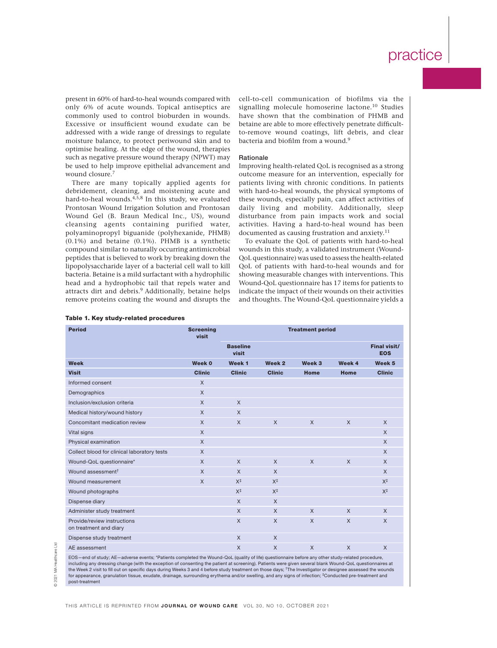present in 60% of hard-to-heal wounds compared with only 6% of acute wounds. Topical antiseptics are commonly used to control bioburden in wounds. Excessive or insufficient wound exudate can be addressed with a wide range of dressings to regulate moisture balance, to protect periwound skin and to optimise healing. At the edge of the wound, therapies such as negative pressure wound therapy (NPWT) may be used to help improve epithelial advancement and wound closure.<sup>7</sup>

There are many topically applied agents for debridement, cleaning, and moistening acute and hard-to-heal wounds.<sup>4,5,8</sup> In this study, we evaluated Prontosan Wound Irrigation Solution and Prontosan Wound Gel (B. Braun Medical Inc., US), wound cleansing agents containing purified water, polyaminopropyl biguanide (polyhexanide, PHMB) (0.1%) and betaine (0.1%). PHMB is a synthetic compound similar to naturally occurring antimicrobial peptides that is believed to work by breaking down the lipopolysaccharide layer of a bacterial cell wall to kill bacteria. Betaine is a mild surfactant with a hydrophilic head and a hydrophobic tail that repels water and attracts dirt and debris.<sup>9</sup> Additionally, betaine helps remove proteins coating the wound and disrupts the

cell-to-cell communication of biofilms via the signalling molecule homoserine lactone.10 Studies have shown that the combination of PHMB and betaine are able to more effectively penetrate difficultto-remove wound coatings, lift debris, and clear bacteria and biofilm from a wound.<sup>9</sup>

### Rationale

Improving health-related QoL is recognised as a strong outcome measure for an intervention, especially for patients living with chronic conditions. In patients with hard-to-heal wounds, the physical symptoms of these wounds, especially pain, can affect activities of daily living and mobility. Additionally, sleep disturbance from pain impacts work and social activities. Having a hard-to-heal wound has been documented as causing frustration and anxiety.11

To evaluate the QoL of patients with hard-to-heal wounds in this study, a validated instrument (Wound-QoL questionnaire) was used to assess the health-related QoL of patients with hard-to-heal wounds and for showing measurable changes with interventions. This Wound-QoL questionnaire has 17 items for patients to indicate the impact of their wounds on their activities and thoughts. The Wound-QoL questionnaire yields a

| <b>Period</b>                                         | <b>Screening</b><br>visit | <b>Treatment period</b>  |                |              |              |                            |
|-------------------------------------------------------|---------------------------|--------------------------|----------------|--------------|--------------|----------------------------|
|                                                       |                           | <b>Baseline</b><br>visit |                |              |              | Final visit/<br><b>EOS</b> |
| <b>Week</b>                                           | Week 0                    | Week <sub>1</sub>        | Week 2         | Week 3       | Week 4       | Week <sub>5</sub>          |
| <b>Visit</b>                                          | <b>Clinic</b>             | <b>Clinic</b>            | <b>Clinic</b>  | Home         | Home         | <b>Clinic</b>              |
| Informed consent                                      | $\times$                  |                          |                |              |              |                            |
| Demographics                                          | $\times$                  |                          |                |              |              |                            |
| Inclusion/exclusion criteria                          | $\times$                  | $\mathsf{X}$             |                |              |              |                            |
| Medical history/wound history                         | $\mathsf{X}$              | $\mathsf{X}$             |                |              |              |                            |
| Concomitant medication review                         | $\mathsf{X}$              | $\mathsf{X}$             | $\chi$         | $\mathsf{X}$ | $\chi$       | $\mathsf{X}$               |
| Vital signs                                           | $\times$                  |                          |                |              |              | $\mathsf{X}$               |
| Physical examination                                  | $\times$                  |                          |                |              |              | $\times$                   |
| Collect blood for clinical laboratory tests           | $\times$                  |                          |                |              |              | $\mathsf{X}$               |
| Wound-QoL questionnaire*                              | $\times$                  | $\mathsf{X}$             | $\mathsf{X}$   | $\times$     | $\mathsf{X}$ | $\mathsf{X}$               |
| Wound assessment <sup>†</sup>                         | $\times$                  | $\times$                 | $\times$       |              |              | $\mathsf{X}$               |
| Wound measurement                                     | $\times$                  | $X^{\ddagger}$           | $X^{\ddagger}$ |              |              | $X^{\ddagger}$             |
| Wound photographs                                     |                           | $X^{\ddagger}$           | $X^{\ddagger}$ |              |              | $X^{\ddagger}$             |
| Dispense diary                                        |                           | $\times$                 | $\chi$         |              |              |                            |
| Administer study treatment                            |                           | $\mathsf{X}$             | $\mathsf{X}$   | $\mathsf{X}$ | $\mathsf{X}$ | $\times$                   |
| Provide/review instructions<br>on treatment and diary |                           | $\times$                 | $\times$       | $\mathsf{x}$ | $\mathsf{x}$ | $\mathsf{X}$               |
| Dispense study treatment                              |                           | $\times$                 | $\times$       |              |              |                            |
| AE assessment                                         |                           | $\times$                 | $\times$       | $\times$     | $\times$     | $\times$                   |

Table 1. Key study-related procedures

© 2021 MA Healthcare Ltd MA Healthcare 2021

 $\overline{B}$ 

EOS—end of study; AE—adverse events; \*Patients completed the Wound-QoL (quality of life) questionnaire before any other study-related procedure, including any dressing change (with the exception of consenting the patient at screening). Patients were given several blank Wound-QoL questionnaires at the Week 2 visit to fill out on specific days during Weeks 3 and 4 before study treatment on those days; †The Investigator or designee assessed the wounds for appearance, granulation tissue, exudate, drainage, surrounding erythema and/or swelling, and any signs of infection; ‡Conducted pre-treatment and post-treatment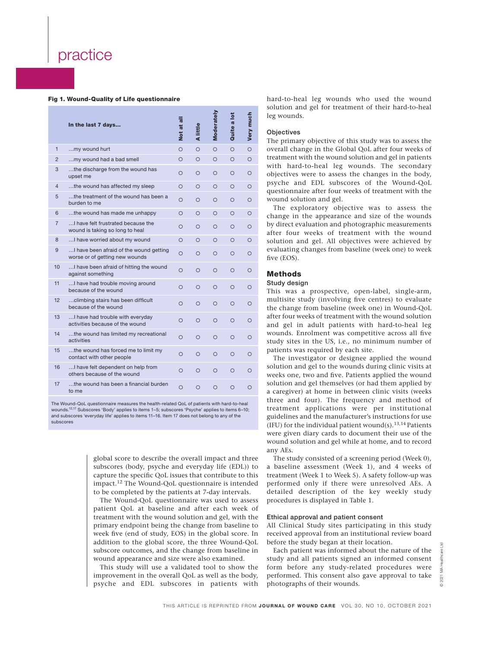### Fig 1. Wound-Quality of Life questionnaire

|                | In the last 7 days                                                        | Not at all | little<br>₫ | Moderately | Quite a lot | Very much |
|----------------|---------------------------------------------------------------------------|------------|-------------|------------|-------------|-----------|
| $\mathbf{1}$   | my wound hurt                                                             | $\Omega$   | $\Omega$    | $\circ$    | $\Omega$    | $\circ$   |
| $\overline{2}$ | my wound had a bad smell                                                  | $\circ$    | $\circ$     | $\circ$    | $\circ$     | О         |
| 3              | the discharge from the wound has<br>upset me                              | O          | $\circ$     | O          | O           | O         |
| $\overline{4}$ | the wound has affected my sleep                                           | $\Omega$   | $\circ$     | O          | О           | O         |
| 5              | the treatment of the wound has been a<br>burden to me                     | $\Omega$   | $\bigcirc$  | $\bigcirc$ | О           | O         |
| 6              | the wound has made me unhappy                                             | $\circ$    | $\circ$     | O          | О           | О         |
| 7              | I have felt frustrated because the<br>wound is taking so long to heal     | O          | $\circ$     | O          | $\circ$     | О         |
| 8              | I have worried about my wound                                             | $\circ$    | $\circ$     | $\circ$    | O           | О         |
| 9              | I have been afraid of the wound getting<br>worse or of getting new wounds | $\circ$    | $\circ$     | $\circ$    | O           | О         |
| 10             | I have been afraid of hitting the wound<br>against something              | $\circ$    | $\circ$     | $\circ$    | O           | О         |
| 11             | I have had trouble moving around<br>because of the wound                  | $\circ$    | $\circ$     | $\circ$    | $\circ$     | О         |
| 12             | climbing stairs has been difficult<br>because of the wound                | $\circ$    | $\circ$     | $\circ$    | $\circ$     | O         |
| 13             | I have had trouble with everyday<br>activities because of the wound       | O          | $\Omega$    | $\Omega$   | $\Omega$    | Ω         |
| 14             | the wound has limited my recreational<br>activities                       | O          | $\circ$     | $\circ$    | $\circ$     | О         |
| 15             | the wound has forced me to limit my<br>contact with other people          | Ο          | O           | O          | O           | Ο         |
| 16             | I have felt dependent on help from<br>others because of the wound         | O          | O           | $\circ$    | $\circ$     | O         |
| 17             | the wound has been a financial burden<br>to me                            | O          | $\circ$     | $\Omega$   | $\Omega$    | Ω         |

The Wound-QoL questionnaire measures the health-related QoL of patients with hard-to-heal wounds.12,17 Subscores 'Body' applies to items 1–5; subscores 'Psyche' applies to items 6–10; and subscores 'everyday life' applies to items 11–16. Item 17 does not belong to any of the subscores

> global score to describe the overall impact and three subscores (body, psyche and everyday life (EDL)) to capture the specific QoL issues that contribute to this impact.12 The Wound-QoL questionnaire is intended to be completed by the patients at 7-day intervals.

> The Wound-QoL questionnaire was used to assess patient QoL at baseline and after each week of treatment with the wound solution and gel, with the primary endpoint being the change from baseline to week five (end of study, EOS) in the global score. In addition to the global score, the three Wound-QoL subscore outcomes, and the change from baseline in wound appearance and size were also examined.

> This study will use a validated tool to show the improvement in the overall QoL as well as the body, psyche and EDL subscores in patients with

hard-to-heal leg wounds who used the wound solution and gel for treatment of their hard-to-heal leg wounds.

#### **Objectives**

The primary objective of this study was to assess the overall change in the Global QoL after four weeks of treatment with the wound solution and gel in patients with hard-to-heal leg wounds. The secondary objectives were to assess the changes in the body, psyche and EDL subscores of the Wound-QoL questionnaire after four weeks of treatment with the wound solution and gel.

The exploratory objective was to assess the change in the appearance and size of the wounds by direct evaluation and photographic measurements after four weeks of treatment with the wound solution and gel. All objectives were achieved by evaluating changes from baseline (week one) to week five (EOS).

### Methods

### Study design

This was a prospective, open-label, single-arm, multisite study (involving five centres) to evaluate the change from baseline (week one) in Wound-QoL after four weeks of treatment with the wound solution and gel in adult patients with hard-to-heal leg wounds. Enrolment was competitive across all five study sites in the US, i.e., no minimum number of patients was required by each site.

The investigator or designee applied the wound solution and gel to the wounds during clinic visits at weeks one, two and five. Patients applied the wound solution and gel themselves (or had them applied by a caregiver) at home in between clinic visits (weeks three and four). The frequency and method of treatment applications were per institutional guidelines and the manufacturer's instructions for use (IFU) for the individual patient wound(s).<sup>13,14</sup> Patients were given diary cards to document their use of the wound solution and gel while at home, and to record any AEs.

The study consisted of a screening period (Week 0), a baseline assessment (Week 1), and 4 weeks of treatment (Week 1 to Week 5). A safety follow-up was performed only if there were unresolved AEs. A detailed description of the key weekly study procedures is displayed in Table 1.

### Ethical approval and patient consent

All Clinical Study sites participating in this study received approval from an institutional review board before the study began at their location.

Each patient was informed about the nature of the study and all patients signed an informed consent form before any study-related procedures were performed. This consent also gave approval to take photographs of their wounds.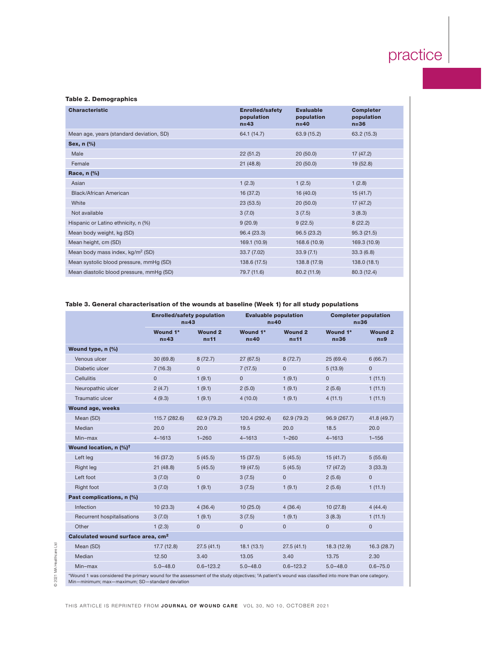### Table 2. Demographics

| <b>Characteristic</b>                        | <b>Enrolled/safety</b><br>population<br>$n=43$ | <b>Evaluable</b><br>population<br>$n=40$ | <b>Completer</b><br>population<br>$n = 36$ |
|----------------------------------------------|------------------------------------------------|------------------------------------------|--------------------------------------------|
| Mean age, years (standard deviation, SD)     | 64.1 (14.7)                                    | 63.9 (15.2)                              | 63.2(15.3)                                 |
| Sex, n (%)                                   |                                                |                                          |                                            |
| Male                                         | 22(51.2)                                       | 20(50.0)                                 | 17(47.2)                                   |
| Female                                       | 21(48.8)                                       | 20(50.0)                                 | 19(52.8)                                   |
| Race, n (%)                                  |                                                |                                          |                                            |
| Asian                                        | 1(2.3)                                         | 1(2.5)                                   | 1(2.8)                                     |
| Black/African American                       | 16 (37.2)                                      | 16(40.0)                                 | 15(41.7)                                   |
| White                                        | 23(53.5)                                       | 20(50.0)                                 | 17(47.2)                                   |
| Not available                                | 3(7.0)                                         | 3(7.5)                                   | 3(8.3)                                     |
| Hispanic or Latino ethnicity, n (%)          | 9(20.9)                                        | 9(22.5)                                  | 8(22.2)                                    |
| Mean body weight, kg (SD)                    | 96.4 (23.3)                                    | 96.5(23.2)                               | 95.3(21.5)                                 |
| Mean height, cm (SD)                         | 169.1 (10.9)                                   | 168.6 (10.9)                             | 169.3 (10.9)                               |
| Mean body mass index, kg/m <sup>2</sup> (SD) | 33.7 (7.02)                                    | 33.9(7.1)                                | 33.3(6.8)                                  |
| Mean systolic blood pressure, mmHg (SD)      | 138.6 (17.5)                                   | 138.8 (17.9)                             | 138.0(18.1)                                |
| Mean diastolic blood pressure, mmHg (SD)     | 79.7 (11.6)                                    | 80.2 (11.9)                              | 80.3 (12.4)                                |

# Table 3. General characterisation of the wounds at baseline (Week 1) for all study populations

|                                                                                                                                                                  | <b>Enrolled/safety population</b><br>$n=43$ |                          |                    | <b>Evaluable population</b><br>$n=40$ |                      | <b>Completer population</b><br>$n=36$ |
|------------------------------------------------------------------------------------------------------------------------------------------------------------------|---------------------------------------------|--------------------------|--------------------|---------------------------------------|----------------------|---------------------------------------|
|                                                                                                                                                                  | Wound 1*<br>$n=43$                          | <b>Wound 2</b><br>$n=11$ | Wound 1*<br>$n=40$ | <b>Wound 2</b><br>$n=11$              | Wound 1*<br>$n = 36$ | <b>Wound 2</b><br>$n=9$               |
| Wound type, n (%)                                                                                                                                                |                                             |                          |                    |                                       |                      |                                       |
| Venous ulcer                                                                                                                                                     | 30 (69.8)                                   | 8(72.7)                  | 27(67.5)           | 8(72.7)                               | 25(69.4)             | 6(66.7)                               |
| Diabetic ulcer                                                                                                                                                   | 7(16.3)                                     | $\overline{0}$           | 7(17.5)            | $\mathbf{0}$                          | 5(13.9)              | $\overline{0}$                        |
| <b>Cellulitis</b>                                                                                                                                                | $\mathbf 0$                                 | 1(9.1)                   | $\mathbf{0}$       | 1(9.1)                                | $\pmb{0}$            | 1(11.1)                               |
| Neuropathic ulcer                                                                                                                                                | 2(4.7)                                      | 1(9.1)                   | 2(5.0)             | 1(9.1)                                | 2(5.6)               | 1(11.1)                               |
| Traumatic ulcer                                                                                                                                                  | 4(9.3)                                      | 1(9.1)                   | 4(10.0)            | 1(9.1)                                | 4(11.1)              | 1(11.1)                               |
| <b>Wound age, weeks</b>                                                                                                                                          |                                             |                          |                    |                                       |                      |                                       |
| Mean (SD)                                                                                                                                                        | 115.7 (282.6)                               | 62.9 (79.2)              | 120.4 (292.4)      | 62.9 (79.2)                           | 96.9 (267.7)         | 41.8 (49.7)                           |
| Median                                                                                                                                                           | 20.0                                        | 20.0                     | 19.5               | 20.0                                  | 18.5                 | 20.0                                  |
| Min-max                                                                                                                                                          | $4 - 1613$                                  | $1 - 260$                | $4 - 1613$         | $1 - 260$                             | $4 - 1613$           | $1 - 156$                             |
| Wound location, n (%) <sup>†</sup>                                                                                                                               |                                             |                          |                    |                                       |                      |                                       |
| Left leg                                                                                                                                                         | 16(37.2)                                    | 5(45.5)                  | 15(37.5)           | 5(45.5)                               | 15(41.7)             | 5(55.6)                               |
| Right leg                                                                                                                                                        | 21(48.8)                                    | 5(45.5)                  | 19 (47.5)          | 5(45.5)                               | 17(47.2)             | 3(33.3)                               |
| Left foot                                                                                                                                                        | 3(7.0)                                      | $\Omega$                 | 3(7.5)             | $\mathbf{0}$                          | 2(5.6)               | $\overline{0}$                        |
| Right foot                                                                                                                                                       | 3(7.0)                                      | 1(9.1)                   | 3(7.5)             | 1(9.1)                                | 2(5.6)               | 1(11.1)                               |
| Past complications, n (%)                                                                                                                                        |                                             |                          |                    |                                       |                      |                                       |
| Infection                                                                                                                                                        | 10(23.3)                                    | 4(36.4)                  | 10(25.0)           | 4(36.4)                               | 10(27.8)             | 4(44.4)                               |
| Recurrent hospitalisations                                                                                                                                       | 3(7.0)                                      | 1(9.1)                   | 3(7.5)             | 1(9.1)                                | 3(8.3)               | 1(11.1)                               |
| Other                                                                                                                                                            | 1(2.3)                                      | $\overline{0}$           | $\mathbf{0}$       | $\overline{0}$                        | $\mathbf{0}$         | $\mathbf{0}$                          |
| Calculated wound surface area, cm <sup>2</sup>                                                                                                                   |                                             |                          |                    |                                       |                      |                                       |
| Mean (SD)                                                                                                                                                        | 17.7(12.8)                                  | 27.5(41.1)               | 18.1(13.1)         | 27.5(41.1)                            | 18.3 (12.9)          | 16.3(28.7)                            |
| Median                                                                                                                                                           | 12.50                                       | 3.40                     | 13.05              | 3.40                                  | 13.75                | 2.30                                  |
| Min-max                                                                                                                                                          | $5.0 - 48.0$                                | $0.6 - 123.2$            | $5.0 - 48.0$       | $0.6 - 123.2$                         | $5.0 - 48.0$         | $0.6 - 75.0$                          |
| *Wound 1 was considered the primary wound for the assessment of the study objectives; <sup>†</sup> A patient's wound was classified into more than one category. |                                             |                          |                    |                                       |                      |                                       |

Min—minimum; max—maximum; SD—standard deviation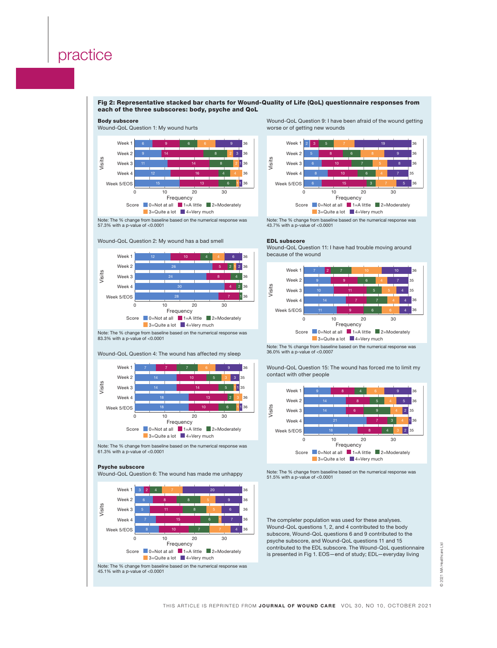Body subscore

Wound-QoL Question 1: My wound hurts

### Fig 2: Representative stacked bar charts for Wound-Quality of Life (QoL) questionnaire responses from each of the three subscores: body, psyche and QoL



Note: The % change from baseline based on the numerical response was 61.3% with a p-value of <0.0001

### Psyche subscore

Wound-QoL Question 6: The wound has made me unhappy



Wound-QoL Question 9: I have been afraid of the wound getting worse or of getting new wounds



Note: The % change from baseline based on the numerical response was 43.7% with a p-value of <0.0001

#### EDL subscore

Wound-QoL Question 11: I have had trouble moving around because of the wound



Note: The % change from baseline based on the numerical response was 36.0% with a p-value of <0.0007

Wound-QoL Question 15: The wound has forced me to limit my contact with other people



Note: The % change from baseline based on the numerical response was 51.5% with a p-value of <0.0001

The completer population was used for these analyses. Wound-QoL questions 1, 2, and 4 contributed to the body subscore, Wound-QoL questions 6 and 9 contributed to the psyche subscore, and Wound-QoL questions 11 and 15 contributed to the EDL subscore. The Wound-QoL questionnaire is presented in Fig 1. EOS—end of study; EDL—everyday living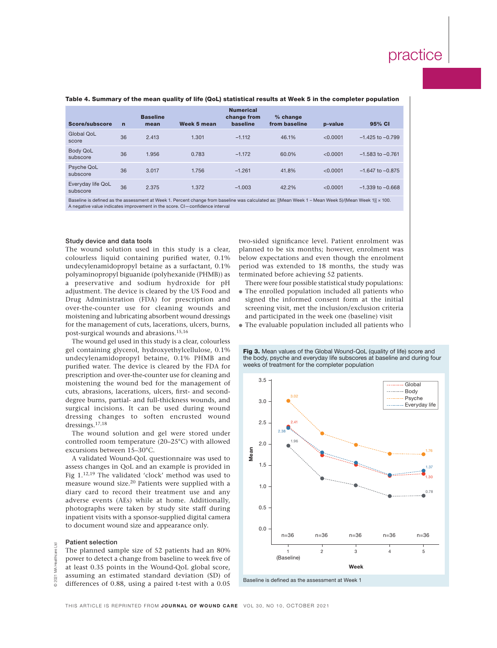| Score/subscore                | $\mathbf n$ | <b>Baseline</b><br>mean | Week 5 mean | <b>Numerical</b><br>change from<br>baseline | % change<br>from baseline | p-value  | 95% CI               |
|-------------------------------|-------------|-------------------------|-------------|---------------------------------------------|---------------------------|----------|----------------------|
| Global OoL<br>score           | 36          | 2.413                   | 1.301       | $-1.112$                                    | 46.1%                     | < 0.0001 | $-1.425$ to $-0.799$ |
| <b>Body QoL</b><br>subscore   | 36          | 1.956                   | 0.783       | $-1.172$                                    | 60.0%                     | < 0.0001 | $-1.583$ to $-0.761$ |
| Psyche QoL<br>subscore        | 36          | 3.017                   | 1.756       | $-1.261$                                    | 41.8%                     | < 0.0001 | $-1.647$ to $-0.875$ |
| Everyday life QoL<br>subscore | 36          | 2.375                   | 1.372       | $-1.003$                                    | 42.2%                     | < 0.0001 | $-1.339$ to $-0.668$ |

### Table 4. Summary of the mean quality of life (QoL) statistical results at Week 5 in the completer population

Baseline is defined as the assessment at Week 1. Percent change from baseline was calculated as: [(Mean Week 1 – Mean Week 5)/(Mean Week 1)] × 100. A negative value indicates improvement in the score. CI—confidence interval

### Study device and data tools

The wound solution used in this study is a clear, colourless liquid containing purified water, 0.1% undecylenamidopropyl betaine as a surfactant, 0.1% polyaminopropyl biguanide (polyhexanide (PHMB)) as a preservative and sodium hydroxide for pH adjustment. The device is cleared by the US Food and Drug Administration (FDA) for prescription and over-the-counter use for cleaning wounds and moistening and lubricating absorbent wound dressings for the management of cuts, lacerations, ulcers, burns, post-surgical wounds and abrasions.15,16

The wound gel used in this study is a clear, colourless gel containing glycerol, hydroxyethylcellulose, 0.1% undecylenamidopropyl betaine, 0.1% PHMB and purified water. The device is cleared by the FDA for prescription and over-the-counter use for cleaning and moistening the wound bed for the management of cuts, abrasions, lacerations, ulcers, first- and seconddegree burns, partial- and full-thickness wounds, and surgical incisions. It can be used during wound dressing changes to soften encrusted wound dressings.17,18

The wound solution and gel were stored under controlled room temperature (20–25°C) with allowed excursions between 15–30°C.

A validated Wound-QoL questionnaire was used to assess changes in QoL and an example is provided in Fig 1.12,19 The validated 'clock' method was used to measure wound size.20 Patients were supplied with a diary card to record their treatment use and any adverse events (AEs) while at home. Additionally, photographs were taken by study site staff during inpatient visits with a sponsor-supplied digital camera to document wound size and appearance only.

### Patient selection

The planned sample size of 52 patients had an 80% power to detect a change from baseline to week five of at least 0.35 points in the Wound-QoL global score, assuming an estimated standard deviation (SD) of differences of 0.88, using a paired t-test with a 0.05

two-sided significance level. Patient enrolment was planned to be six months; however, enrolment was below expectations and even though the enrolment period was extended to 18 months, the study was terminated before achieving 52 patients.

There were four possible statistical study populations:

- The enrolled population included all patients who signed the informed consent form at the initial screening visit, met the inclusion/exclusion criteria and participated in the week one (baseline) visit
- The evaluable population included all patients who

Fig 3. Mean values of the Global Wound-QoL (quality of life) score and the body, psyche and everyday life subscores at baseline and during four weeks of treatment for the completer population



© 2021 MA Healthcare Ltd MA Healthcare

 $\overline{\mathbb{F}}$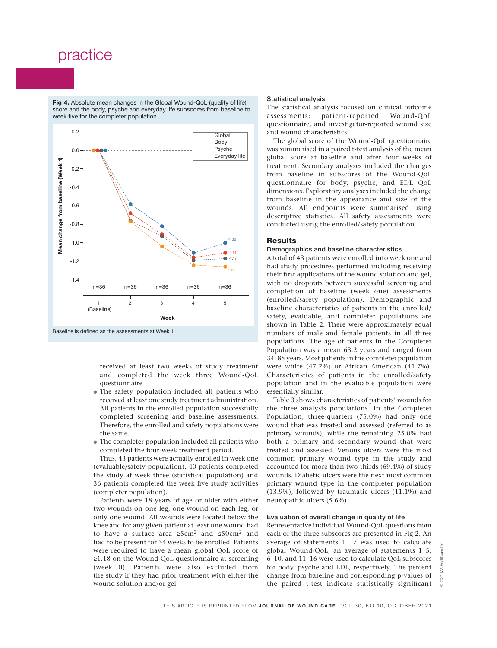Fig 4. Absolute mean changes in the Global Wound-QoL (quality of life) score and the body, psyche and everyday life subscores from baseline to week five for the completer population



received at least two weeks of study treatment and completed the week three Wound-QoL questionnaire

- The safety population included all patients who received at least one study treatment administration. All patients in the enrolled population successfully completed screening and baseline assessments. Therefore, the enrolled and safety populations were the same.
- The completer population included all patients who completed the four-week treatment period.

Thus, 43 patients were actually enrolled in week one (evaluable/safety population), 40 patients completed the study at week three (statistical population) and 36 patients completed the week five study activities (completer population).

Patients were 18 years of age or older with either two wounds on one leg, one wound on each leg, or only one wound. All wounds were located below the knee and for any given patient at least one wound had to have a surface area ≥5cm2 and ≤50cm2 and had to be present for ≥4 weeks to be enrolled. Patients were required to have a mean global QoL score of ≥1.18 on the Wound-QoL questionnaire at screening (week 0). Patients were also excluded from the study if they had prior treatment with either the wound solution and/or gel.

### Statistical analysis

The statistical analysis focused on clinical outcome assessments: patient-reported Wound-QoL questionnaire, and investigator-reported wound size and wound characteristics.

The global score of the Wound-QoL questionnaire was summarised in a paired t-test analysis of the mean global score at baseline and after four weeks of treatment. Secondary analyses included the changes from baseline in subscores of the Wound-QoL questionnaire for body, psyche, and EDL QoL dimensions. Exploratory analyses included the change from baseline in the appearance and size of the wounds. All endpoints were summarised using descriptive statistics. All safety assessments were conducted using the enrolled/safety population.

### **Results**

### Demographics and baseline characteristics

A total of 43 patients were enrolled into week one and had study procedures performed including receiving their first applications of the wound solution and gel, with no dropouts between successful screening and completion of baseline (week one) assessments (enrolled/safety population). Demographic and baseline characteristics of patients in the enrolled/ safety, evaluable, and completer populations are shown in Table 2. There were approximately equal numbers of male and female patients in all three populations. The age of patients in the Completer Population was a mean 63.2 years and ranged from 34–85 years. Most patients in the completer population were white (47.2%) or African American (41.7%). Characteristics of patients in the enrolled/safety population and in the evaluable population were essentially similar.

Table 3 shows characteristics of patients' wounds for the three analysis populations. In the Completer Population, three-quarters (75.0%) had only one wound that was treated and assessed (referred to as primary wounds), while the remaining 25.0% had both a primary and secondary wound that were treated and assessed. Venous ulcers were the most common primary wound type in the study and accounted for more than two-thirds (69.4%) of study wounds. Diabetic ulcers were the next most common primary wound type in the completer population (13.9%), followed by traumatic ulcers (11.1%) and neuropathic ulcers (5.6%).

### Evaluation of overall change in quality of life

Representative individual Wound-QoL questions from each of the three subscores are presented in Fig 2. An average of statements 1–17 was used to calculate global Wound-QoL; an average of statements 1–5, 6–10, and 11–16 were used to calculate QoL subscores for body, psyche and EDL, respectively. The percent change from baseline and corresponding p-values of the paired t-test indicate statistically significant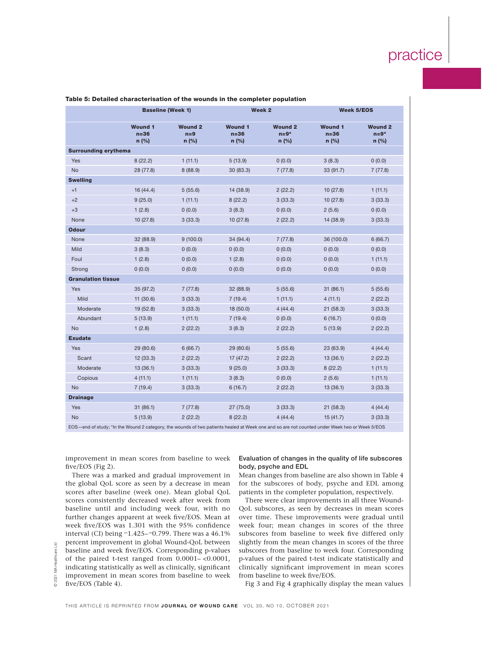|                             |                                                                                                                                               | <b>Baseline (Week 1)</b>           |                                     | Week 2                            | <b>Week 5/EOS</b>                   |                                     |
|-----------------------------|-----------------------------------------------------------------------------------------------------------------------------------------------|------------------------------------|-------------------------------------|-----------------------------------|-------------------------------------|-------------------------------------|
|                             | <b>Wound 1</b><br>$n = 36$<br>$n$ (%)                                                                                                         | <b>Wound 2</b><br>$n=9$<br>$n$ (%) | <b>Wound 1</b><br>$n=36$<br>$n$ (%) | <b>Wound 2</b><br>$n=9*$<br>n (%) | <b>Wound 1</b><br>$n = 36$<br>n (%) | <b>Wound 2</b><br>$n=9*$<br>$n$ (%) |
| <b>Surrounding erythema</b> |                                                                                                                                               |                                    |                                     |                                   |                                     |                                     |
| Yes                         | 8(22.2)                                                                                                                                       | 1(11.1)                            | 5(13.9)                             | 0(0.0)                            | 3(8.3)                              | 0(0.0)                              |
| <b>No</b>                   | 28 (77.8)                                                                                                                                     | 8(88.9)                            | 30 (83.3)                           | 7(77.8)                           | 33 (91.7)                           | 7(77.8)                             |
| <b>Swelling</b>             |                                                                                                                                               |                                    |                                     |                                   |                                     |                                     |
| $+1$                        | 16(44.4)                                                                                                                                      | 5(55.6)                            | 14 (38.9)                           | 2(22.2)                           | 10(27.8)                            | 1(11.1)                             |
| $+2$                        | 9(25.0)                                                                                                                                       | 1(11.1)                            | 8(22.2)                             | 3(33.3)                           | 10(27.8)                            | 3(33.3)                             |
| $+3$                        | 1(2.8)                                                                                                                                        | (0.0)                              | 3(8.3)                              | 0(0.0)                            | 2(5.6)                              | 0(0.0)                              |
| None                        | 10(27.8)                                                                                                                                      | 3(33.3)                            | 10(27.8)                            | 2(22.2)                           | 14 (38.9)                           | 3(33.3)                             |
| <b>Odour</b>                |                                                                                                                                               |                                    |                                     |                                   |                                     |                                     |
| None                        | 32 (88.9)                                                                                                                                     | 9(100.0)                           | 34 (94.4)                           | 7(77.8)                           | 36 (100.0)                          | 6(66.7)                             |
| Mild                        | 3(8.3)                                                                                                                                        | 0(0.0)                             | 0(0.0)                              | 0(0.0)                            | 0(0.0)                              | 0(0.0)                              |
| Foul                        | 1(2.8)                                                                                                                                        | 0(0.0)                             | 1(2.8)                              | 0(0.0)                            | 0(0.0)                              | 1(11.1)                             |
| Strong                      | 0(0.0)                                                                                                                                        | 0(0.0)                             | 0(0.0)                              | 0(0.0)                            | 0(0.0)                              | 0(0.0)                              |
| <b>Granulation tissue</b>   |                                                                                                                                               |                                    |                                     |                                   |                                     |                                     |
| Yes                         | 35 (97.2)                                                                                                                                     | 7(77.8)                            | 32 (88.9)                           | 5(55.6)                           | 31(86.1)                            | 5(55.6)                             |
| Mild                        | 11(30.6)                                                                                                                                      | 3(33.3)                            | 7(19.4)                             | 1(11.1)                           | 4(11.1)                             | 2(22.2)                             |
| Moderate                    | 19(52.8)                                                                                                                                      | 3(33.3)                            | 18 (50.0)                           | 4(44.4)                           | 21(58.3)                            | 3(33.3)                             |
| Abundant                    | 5(13.9)                                                                                                                                       | 1(11.1)                            | 7(19.4)                             | 0(0.0)                            | 6(16.7)                             | 0(0.0)                              |
| <b>No</b>                   | 1(2.8)                                                                                                                                        | 2(22.2)                            | 3(8.3)                              | 2(22.2)                           | 5(13.9)                             | 2(22.2)                             |
| <b>Exudate</b>              |                                                                                                                                               |                                    |                                     |                                   |                                     |                                     |
| Yes                         | 29 (80.6)                                                                                                                                     | 6(66.7)                            | 29 (80.6)                           | 5(55.6)                           | 23 (63.9)                           | 4(44.4)                             |
| Scant                       | 12(33.3)                                                                                                                                      | 2(22.2)                            | 17 (47.2)                           | 2(22.2)                           | 13(36.1)                            | 2(22.2)                             |
| Moderate                    | 13(36.1)                                                                                                                                      | 3(33.3)                            | 9(25.0)                             | 3(33.3)                           | 8(22.2)                             | 1(11.1)                             |
| Copious                     | 4(11.1)                                                                                                                                       | 1(11.1)                            | 3(8.3)                              | 0(0.0)                            | 2(5.6)                              | 1(11.1)                             |
| <b>No</b>                   | 7(19.4)                                                                                                                                       | 3(33.3)                            | 6(16.7)                             | 2(22.2)                           | 13(36.1)                            | 3(33.3)                             |
| <b>Drainage</b>             |                                                                                                                                               |                                    |                                     |                                   |                                     |                                     |
| <b>Yes</b>                  | 31(86.1)                                                                                                                                      | 7(77.8)                            | 27(75.0)                            | 3(33.3)                           | 21(58.3)                            | 4(44.4)                             |
| <b>No</b>                   | 5(13.9)                                                                                                                                       | 2(22.2)                            | 8(22.2)                             | 4(44.4)                           | 15(41.7)                            | 3(33.3)                             |
|                             | EOS-end of study; *In the Wound 2 category, the wounds of two patients healed at Week one and so are not counted under Week two or Week 5/EOS |                                    |                                     |                                   |                                     |                                     |

### Table 5: Detailed characterisation of the wounds in the completer population

improvement in mean scores from baseline to week five/EOS (Fig 2).

There was a marked and gradual improvement in the global QoL score as seen by a decrease in mean scores after baseline (week one). Mean global QoL scores consistently decreased week after week from baseline until and including week four, with no further changes apparent at week five/EOS. Mean at week five/EOS was 1.301 with the 95% confidence interval (CI) being  $-1.425 - 0.799$ . There was a 46.1% percent improvement in global Wound-QoL between baseline and week five/EOS. Corresponding p-values of the paired t-test ranged from 0.0001– <0.0001, indicating statistically as well as clinically, significant improvement in mean scores from baseline to week five/EOS (Table 4).

### Evaluation of changes in the quality of life subscores body, psyche and EDL

Mean changes from baseline are also shown in Table 4 for the subscores of body, psyche and EDL among patients in the completer population, respectively.

There were clear improvements in all three Wound-QoL subscores, as seen by decreases in mean scores over time. These improvements were gradual until week four; mean changes in scores of the three subscores from baseline to week five differed only slightly from the mean changes in scores of the three subscores from baseline to week four. Corresponding p-values of the paired t-test indicate statistically and clinically significant improvement in mean scores from baseline to week five/EOS.

Fig 3 and Fig 4 graphically display the mean values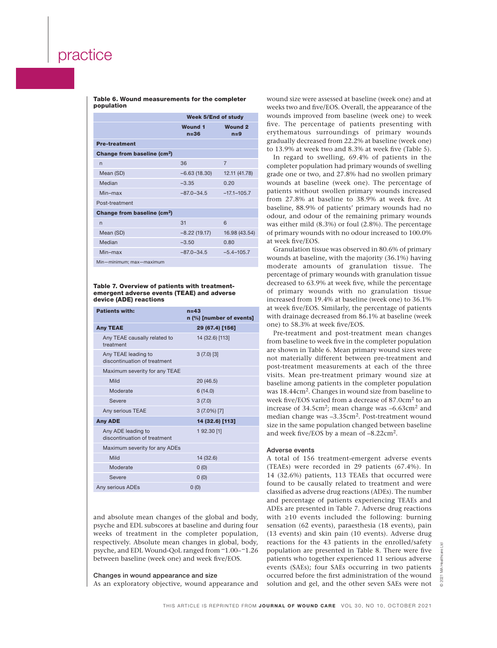Table 6. Wound measurements for the completer population

|                                         | <b>Week 5/End of study</b> |                         |  |  |
|-----------------------------------------|----------------------------|-------------------------|--|--|
|                                         | <b>Wound 1</b><br>$n = 36$ | <b>Wound 2</b><br>$n=9$ |  |  |
| <b>Pre-treatment</b>                    |                            |                         |  |  |
| Change from baseline (cm <sup>2</sup> ) |                            |                         |  |  |
| $\overline{n}$                          | 36                         | 7                       |  |  |
| Mean (SD)                               | $-6.63(18.30)$             | 12.11 (41.78)           |  |  |
| Median                                  | $-3.35$                    | 0.20                    |  |  |
| $Min-max$                               | $-87.0 - 34.5$             | $-17.1 - 105.7$         |  |  |
| Post-treatment                          |                            |                         |  |  |
| Change from baseline (cm <sup>2</sup> ) |                            |                         |  |  |
| $\overline{n}$                          | 31                         | 6                       |  |  |
| Mean (SD)                               | $-8.22(19.17)$             | 16.98 (43.54)           |  |  |
| Median                                  | $-3.50$                    | 0.80                    |  |  |
| Min-max                                 | $-87.0 - 34.5$             | $-5.4 - 105.7$          |  |  |
| Min-minimum; max-maximum                |                            |                         |  |  |

Table 7. Overview of patients with treatmentemergent adverse events (TEAE) and adverse device (ADE) reactions

| <b>Patients with:</b>                               | $n=43$<br>n (%) [number of events] |
|-----------------------------------------------------|------------------------------------|
| <b>Any TEAE</b>                                     | 29 (67.4) [156]                    |
| Any TEAE causally related to<br>treatment           | 14 (32.6) [113]                    |
| Any TEAE leading to<br>discontinuation of treatment | $3(7.0)$ [3]                       |
| Maximum severity for any TEAE                       |                                    |
| Mild                                                | 20 (46.5)                          |
| Moderate                                            | 6(14.0)                            |
| Severe                                              | 3(7.0)                             |
| Any serious TEAE                                    | $3(7.0\%)$ [7]                     |
| <b>Any ADE</b>                                      | 14 (32.6) [113]                    |
| Any ADE leading to<br>discontinuation of treatment  | 1 92.30 [1]                        |
| Maximum severity for any ADEs                       |                                    |
| Mild                                                | 14 (32.6)                          |
| Moderate                                            | 0(0)                               |
| Severe                                              | 0(0)                               |
| Any serious ADEs                                    | 0(0)                               |

and absolute mean changes of the global and body, psyche and EDL subscores at baseline and during four weeks of treatment in the completer population, respectively. Absolute mean changes in global, body, psyche, and EDL Wound-QoL ranged from  $-1.00 - 1.26$ between baseline (week one) and week five/EOS.

### Changes in wound appearance and size

As an exploratory objective, wound appearance and

wound size were assessed at baseline (week one) and at weeks two and five/EOS. Overall, the appearance of the wounds improved from baseline (week one) to week five. The percentage of patients presenting with erythematous surroundings of primary wounds gradually decreased from 22.2% at baseline (week one) to 13.9% at week two and 8.3% at week five (Table 5).

In regard to swelling, 69.4% of patients in the completer population had primary wounds of swelling grade one or two, and 27.8% had no swollen primary wounds at baseline (week one). The percentage of patients without swollen primary wounds increased from 27.8% at baseline to 38.9% at week five. At baseline, 88.9% of patients' primary wounds had no odour, and odour of the remaining primary wounds was either mild (8.3%) or foul (2.8%). The percentage of primary wounds with no odour increased to 100.0% at week five/EOS.

Granulation tissue was observed in 80.6% of primary wounds at baseline, with the majority (36.1%) having moderate amounts of granulation tissue. The percentage of primary wounds with granulation tissue decreased to 63.9% at week five, while the percentage of primary wounds with no granulation tissue increased from 19.4% at baseline (week one) to 36.1% at week five/EOS. Similarly, the percentage of patients with drainage decreased from 86.1% at baseline (week one) to 58.3% at week five/EOS.

Pre-treatment and post-treatment mean changes from baseline to week five in the completer population are shown in Table 6. Mean primary wound sizes were not materially different between pre-treatment and post-treatment measurements at each of the three visits. Mean pre-treatment primary wound size at baseline among patients in the completer population was 18.44cm2. Changes in wound size from baseline to week five/EOS varied from a decrease of 87.0cm2 to an increase of  $34.5 \text{cm}^2$ ; mean change was  $-6.63 \text{cm}^2$  and median change was -3.35cm<sup>2</sup>. Post-treatment wound size in the same population changed between baseline and week five/EOS by a mean of –8.22cm2.

### Adverse events

A total of 156 treatment-emergent adverse events (TEAEs) were recorded in 29 patients (67.4%). In 14 (32.6%) patients, 113 TEAEs that occurred were found to be causally related to treatment and were classified as adverse drug reactions (ADEs). The number and percentage of patients experiencing TEAEs and ADEs are presented in Table 7. Adverse drug reactions with ≥10 events included the following: burning sensation (62 events), paraesthesia (18 events), pain (13 events) and skin pain (10 events). Adverse drug reactions for the 43 patients in the enrolled/safety population are presented in Table 8. There were five patients who together experienced 11 serious adverse events (SAEs); four SAEs occurring in two patients occurred before the first administration of the wound solution and gel, and the other seven SAEs were not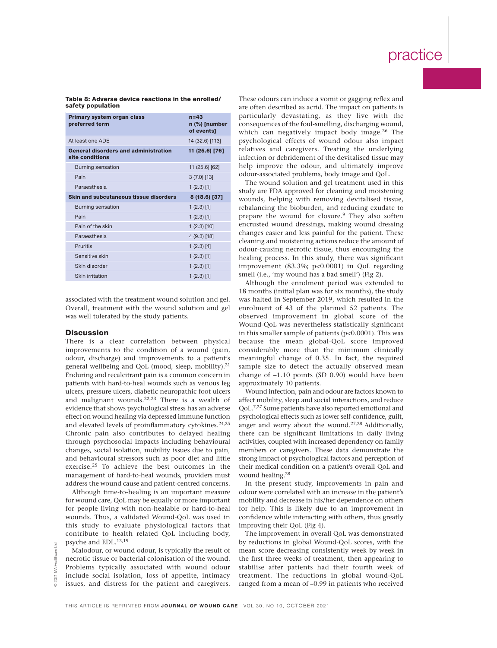### Table 8: Adverse device reactions in the enrolled/ safety population

| Primary system organ class<br>preferred term                   | $n=43$<br>n (%) [number<br>of events] |
|----------------------------------------------------------------|---------------------------------------|
| At least one ADF                                               | 14 (32.6) [113]                       |
| <b>General disorders and administration</b><br>site conditions | 11 (25.6) [76]                        |
| <b>Burning sensation</b>                                       | 11 (25.6) [62]                        |
| Pain                                                           | $3(7.0)$ [13]                         |
| Paraesthesia                                                   | $1(2.3)$ [1]                          |
| <b>Skin and subcutaneous tissue disorders</b>                  | 8 (18.6) [37]                         |
| Burning sensation                                              | $1(2.3)$ [1]                          |
| Pain                                                           | $1(2.3)$ [1]                          |
| Pain of the skin                                               | $1(2.3)$ [10]                         |
| Paraesthesia                                                   | $4(9.3)$ [18]                         |
| Pruritis                                                       | $1(2.3)$ [4]                          |
| Sensitive skin                                                 | $1(2.3)$ [1]                          |
| Skin disorder                                                  | $1(2.3)$ [1]                          |
| <b>Skin irritation</b>                                         | $1(2.3)$ [1]                          |

associated with the treatment wound solution and gel. Overall, treatment with the wound solution and gel was well tolerated by the study patients.

### **Discussion**

There is a clear correlation between physical improvements to the condition of a wound (pain, odour, discharge) and improvements to a patient's general wellbeing and QoL (mood, sleep, mobility). $21$ Enduring and recalcitrant pain is a common concern in patients with hard-to-heal wounds such as venous leg ulcers, pressure ulcers, diabetic neuropathic foot ulcers and malignant wounds.22,23 There is a wealth of evidence that shows psychological stress has an adverse effect on wound healing via depressed immune function and elevated levels of proinflammatory cytokines.<sup>24,25</sup> Chronic pain also contributes to delayed healing through psychosocial impacts including behavioural changes, social isolation, mobility issues due to pain, and behavioural stressors such as poor diet and little exercise.25 To achieve the best outcomes in the management of hard-to-heal wounds, providers must address the wound cause and patient-centred concerns.

Although time-to-healing is an important measure for wound care, QoL may be equally or more important for people living with non-healable or hard-to-heal wounds. Thus, a validated Wound-QoL was used in this study to evaluate physiological factors that contribute to health related QoL including body, psyche and EDL.12,19

Malodour, or wound odour, is typically the result of necrotic tissue or bacterial colonisation of the wound. Problems typically associated with wound odour include social isolation, loss of appetite, intimacy issues, and distress for the patient and caregivers.

These odours can induce a vomit or gagging reflex and are often described as acrid. The impact on patients is particularly devastating, as they live with the consequences of the foul-smelling, discharging wound, which can negatively impact body image.<sup>26</sup> The psychological effects of wound odour also impact relatives and caregivers. Treating the underlying infection or debridement of the devitalised tissue may help improve the odour, and ultimately improve odour-associated problems, body image and QoL.

The wound solution and gel treatment used in this study are FDA approved for cleaning and moistening wounds, helping with removing devitalised tissue, rebalancing the bioburden, and reducing exudate to prepare the wound for closure.<sup>9</sup> They also soften encrusted wound dressings, making wound dressing changes easier and less painful for the patient. These cleaning and moistening actions reduce the amount of odour-causing necrotic tissue, thus encouraging the healing process. In this study, there was significant improvement (83.3%; p<0.0001) in QoL regarding smell (i.e., 'my wound has a bad smell') (Fig 2).

Although the enrolment period was extended to 18 months (initial plan was for six months), the study was halted in September 2019, which resulted in the enrolment of 43 of the planned 52 patients. The observed improvement in global score of the Wound-QoL was nevertheless statistically significant in this smaller sample of patients (p<0.0001). This was because the mean global-QoL score improved considerably more than the minimum clinically meaningful change of 0.35. In fact, the required sample size to detect the actually observed mean change of –1.10 points (SD 0.90) would have been approximately 10 patients.

Wound infection, pain and odour are factors known to affect mobility, sleep and social interactions, and reduce QoL.7,27 Some patients have also reported emotional and psychological effects such as lower self-confidence, guilt, anger and worry about the wound.27,28 Additionally, there can be significant limitations in daily living activities, coupled with increased dependency on family members or caregivers. These data demonstrate the strong impact of psychological factors and perception of their medical condition on a patient's overall QoL and wound healing.28

In the present study, improvements in pain and odour were correlated with an increase in the patient's mobility and decrease in his/her dependence on others for help. This is likely due to an improvement in confidence while interacting with others, thus greatly improving their QoL (Fig 4).

The improvement in overall QoL was demonstrated by reductions in global Wound-QoL scores, with the mean score decreasing consistently week by week in the first three weeks of treatment, then appearing to stabilise after patients had their fourth week of treatment. The reductions in global wound-QoL ranged from a mean of –0.99 in patients who received